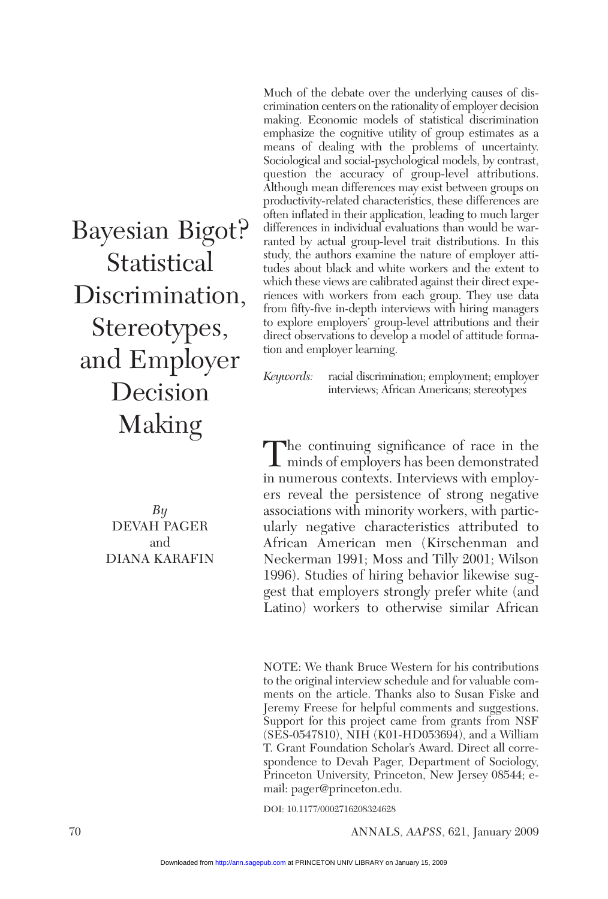Bayesian Bigot? **Statistical** Discrimination, Stereotypes, and Employer Decision Making

> *By* DEVAH PAGER and DIANA KARAFIN

Much of the debate over the underlying causes of discrimination centers on the rationality of employer decision making. Economic models of statistical discrimination emphasize the cognitive utility of group estimates as a means of dealing with the problems of uncertainty. Sociological and social-psychological models, by contrast, question the accuracy of group-level attributions. Although mean differences may exist between groups on productivity-related characteristics, these differences are often inflated in their application, leading to much larger differences in individual evaluations than would be warranted by actual group-level trait distributions. In this study, the authors examine the nature of employer attitudes about black and white workers and the extent to which these views are calibrated against their direct experiences with workers from each group. They use data from fifty-five in-depth interviews with hiring managers to explore employers' group-level attributions and their direct observations to develop a model of attitude formation and employer learning.

*Keywords:* racial discrimination; employment; employer interviews; African Americans; stereotypes

The continuing significance of race in the<br>minds of employers has been demonstrated<br>in numerous contents. Intensies with employ in numerous contexts. Interviews with employers reveal the persistence of strong negative associations with minority workers, with particularly negative characteristics attributed to African American men (Kirschenman and Neckerman 1991; Moss and Tilly 2001; Wilson 1996). Studies of hiring behavior likewise suggest that employers strongly prefer white (and Latino) workers to otherwise similar African

NOTE: We thank Bruce Western for his contributions to the original interview schedule and for valuable comments on the article. Thanks also to Susan Fiske and Jeremy Freese for helpful comments and suggestions. Support for this project came from grants from NSF (SES-0547810), NIH (K01-HD053694), and a William T. Grant Foundation Scholar's Award. Direct all correspondence to Devah Pager, Department of Sociology, Princeton University, Princeton, New Jersey 08544; email: pager@princeton.edu.

DOI: 10.1177/0002716208324628

70 ANNALS, *AAPSS*, 621, January 2009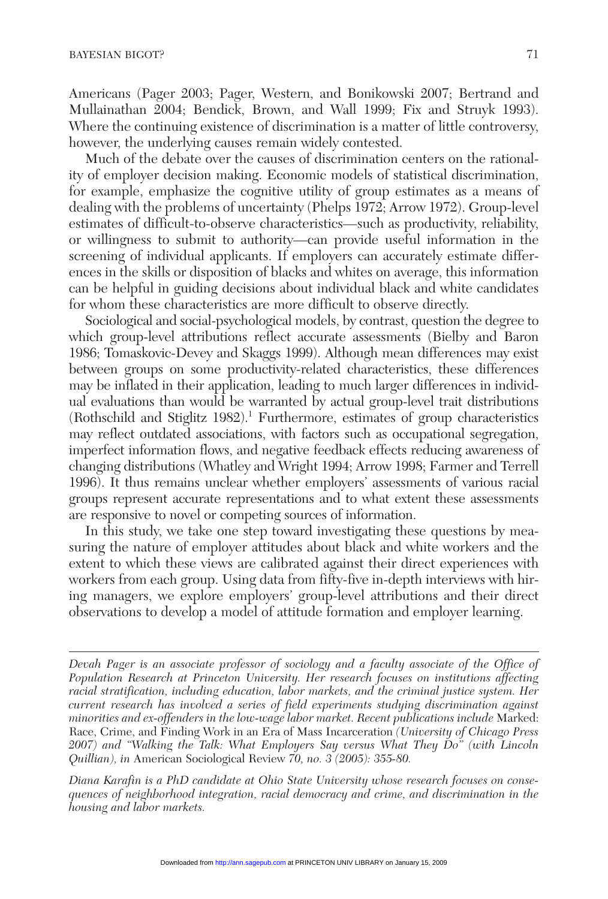Americans (Pager 2003; Pager, Western, and Bonikowski 2007; Bertrand and Mullainathan 2004; Bendick, Brown, and Wall 1999; Fix and Struyk 1993). Where the continuing existence of discrimination is a matter of little controversy, however, the underlying causes remain widely contested.

Much of the debate over the causes of discrimination centers on the rationality of employer decision making. Economic models of statistical discrimination, for example, emphasize the cognitive utility of group estimates as a means of dealing with the problems of uncertainty (Phelps 1972; Arrow 1972). Group-level estimates of difficult-to-observe characteristics—such as productivity, reliability, or willingness to submit to authority—can provide useful information in the screening of individual applicants. If employers can accurately estimate differences in the skills or disposition of blacks and whites on average, this information can be helpful in guiding decisions about individual black and white candidates for whom these characteristics are more difficult to observe directly.

Sociological and social-psychological models, by contrast, question the degree to which group-level attributions reflect accurate assessments (Bielby and Baron 1986; Tomaskovic-Devey and Skaggs 1999). Although mean differences may exist between groups on some productivity-related characteristics, these differences may be inflated in their application, leading to much larger differences in individual evaluations than would be warranted by actual group-level trait distributions (Rothschild and Stiglitz 1982).<sup>1</sup> Furthermore, estimates of group characteristics may reflect outdated associations, with factors such as occupational segregation, imperfect information flows, and negative feedback effects reducing awareness of changing distributions (Whatley and Wright 1994; Arrow 1998; Farmer and Terrell 1996). It thus remains unclear whether employers' assessments of various racial groups represent accurate representations and to what extent these assessments are responsive to novel or competing sources of information.

In this study, we take one step toward investigating these questions by measuring the nature of employer attitudes about black and white workers and the extent to which these views are calibrated against their direct experiences with workers from each group. Using data from fifty-five in-depth interviews with hiring managers, we explore employers' group-level attributions and their direct observations to develop a model of attitude formation and employer learning.

*Diana Karafin is a PhD candidate at Ohio State University whose research focuses on consequences of neighborhood integration, racial democracy and crime, and discrimination in the housing and labor markets.*

*Devah Pager is an associate professor of sociology and a faculty associate of the Office of Population Research at Princeton University. Her research focuses on institutions affecting racial stratification, including education, labor markets, and the criminal justice system. Her current research has involved a series of field experiments studying discrimination against minorities and ex-offenders in the low-wage labor market. Recent publications include* Marked: Race, Crime, and Finding Work in an Era of Mass Incarceration *(University of Chicago Press 2007) and "Walking the Talk: What Employers Say versus What They Do" (with Lincoln Quillian), in* American Sociological Review *70, no. 3 (2005): 355-80.*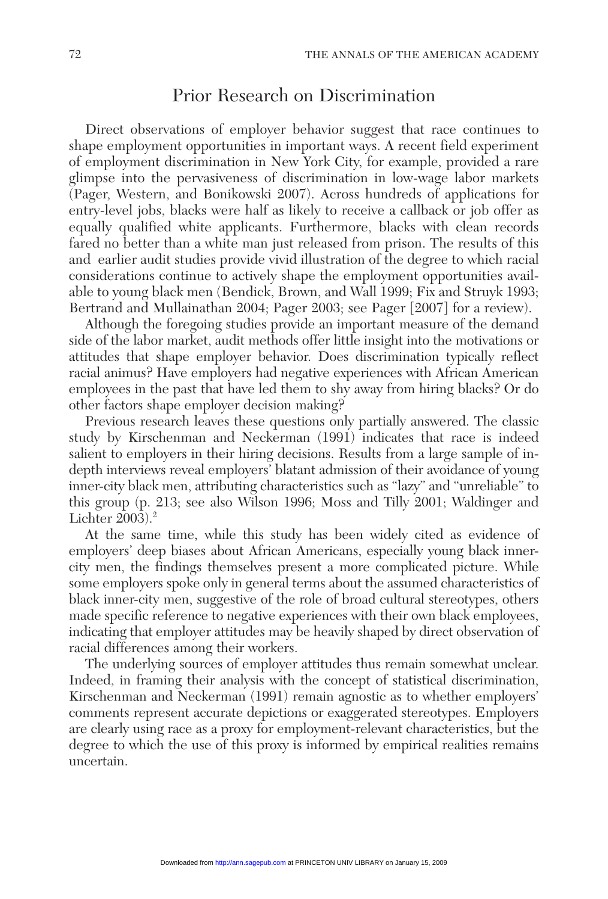## Prior Research on Discrimination

Direct observations of employer behavior suggest that race continues to shape employment opportunities in important ways. A recent field experiment of employment discrimination in New York City, for example, provided a rare glimpse into the pervasiveness of discrimination in low-wage labor markets (Pager, Western, and Bonikowski 2007). Across hundreds of applications for entry-level jobs, blacks were half as likely to receive a callback or job offer as equally qualified white applicants. Furthermore, blacks with clean records fared no better than a white man just released from prison. The results of this and earlier audit studies provide vivid illustration of the degree to which racial considerations continue to actively shape the employment opportunities available to young black men (Bendick, Brown, and Wall 1999; Fix and Struyk 1993; Bertrand and Mullainathan 2004; Pager 2003; see Pager [2007] for a review).

Although the foregoing studies provide an important measure of the demand side of the labor market, audit methods offer little insight into the motivations or attitudes that shape employer behavior. Does discrimination typically reflect racial animus? Have employers had negative experiences with African American employees in the past that have led them to shy away from hiring blacks? Or do other factors shape employer decision making?

Previous research leaves these questions only partially answered. The classic study by Kirschenman and Neckerman (1991) indicates that race is indeed salient to employers in their hiring decisions. Results from a large sample of indepth interviews reveal employers' blatant admission of their avoidance of young inner-city black men, attributing characteristics such as "lazy" and "unreliable" to this group (p. 213; see also Wilson 1996; Moss and Tilly 2001; Waldinger and Lichter 2003).<sup>2</sup>

At the same time, while this study has been widely cited as evidence of employers' deep biases about African Americans, especially young black innercity men, the findings themselves present a more complicated picture. While some employers spoke only in general terms about the assumed characteristics of black inner-city men, suggestive of the role of broad cultural stereotypes, others made specific reference to negative experiences with their own black employees, indicating that employer attitudes may be heavily shaped by direct observation of racial differences among their workers.

The underlying sources of employer attitudes thus remain somewhat unclear. Indeed, in framing their analysis with the concept of statistical discrimination, Kirschenman and Neckerman (1991) remain agnostic as to whether employers' comments represent accurate depictions or exaggerated stereotypes. Employers are clearly using race as a proxy for employment-relevant characteristics, but the degree to which the use of this proxy is informed by empirical realities remains uncertain.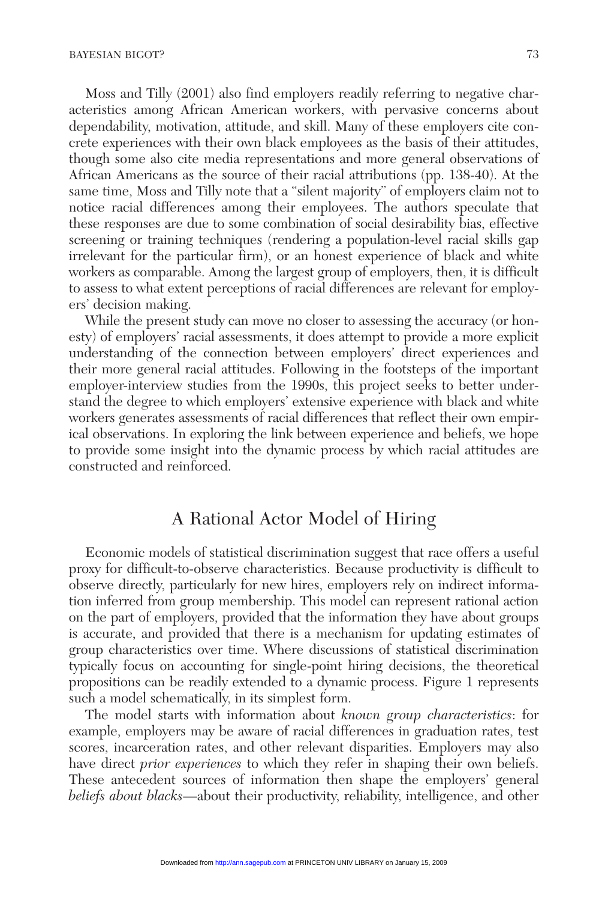Moss and Tilly (2001) also find employers readily referring to negative characteristics among African American workers, with pervasive concerns about dependability, motivation, attitude, and skill. Many of these employers cite concrete experiences with their own black employees as the basis of their attitudes, though some also cite media representations and more general observations of African Americans as the source of their racial attributions (pp. 138-40). At the same time, Moss and Tilly note that a "silent majority" of employers claim not to notice racial differences among their employees. The authors speculate that these responses are due to some combination of social desirability bias, effective screening or training techniques (rendering a population-level racial skills gap irrelevant for the particular firm), or an honest experience of black and white workers as comparable. Among the largest group of employers, then, it is difficult to assess to what extent perceptions of racial differences are relevant for employers' decision making.

While the present study can move no closer to assessing the accuracy (or honesty) of employers' racial assessments, it does attempt to provide a more explicit understanding of the connection between employers' direct experiences and their more general racial attitudes. Following in the footsteps of the important employer-interview studies from the 1990s, this project seeks to better understand the degree to which employers' extensive experience with black and white workers generates assessments of racial differences that reflect their own empirical observations. In exploring the link between experience and beliefs, we hope to provide some insight into the dynamic process by which racial attitudes are constructed and reinforced.

## A Rational Actor Model of Hiring

Economic models of statistical discrimination suggest that race offers a useful proxy for difficult-to-observe characteristics. Because productivity is difficult to observe directly, particularly for new hires, employers rely on indirect information inferred from group membership. This model can represent rational action on the part of employers, provided that the information they have about groups is accurate, and provided that there is a mechanism for updating estimates of group characteristics over time. Where discussions of statistical discrimination typically focus on accounting for single-point hiring decisions, the theoretical propositions can be readily extended to a dynamic process. Figure 1 represents such a model schematically, in its simplest form.

The model starts with information about *known group characteristics*: for example, employers may be aware of racial differences in graduation rates, test scores, incarceration rates, and other relevant disparities. Employers may also have direct *prior experiences* to which they refer in shaping their own beliefs. These antecedent sources of information then shape the employers' general *beliefs about blacks*—about their productivity, reliability, intelligence, and other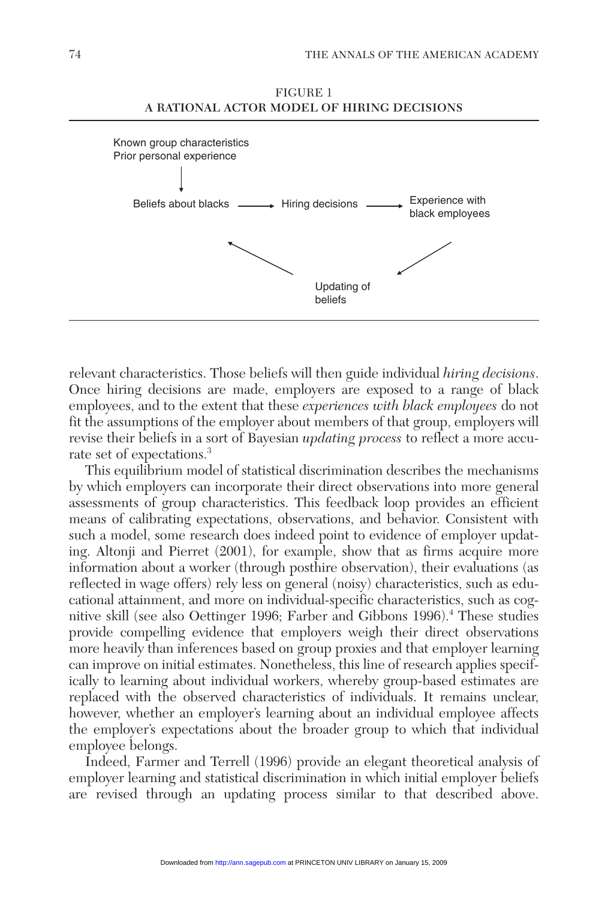

FIGURE 1 **A RATIONAL ACTOR MODEL OF HIRING DECISIONS**

relevant characteristics. Those beliefs will then guide individual *hiring decisions*. Once hiring decisions are made, employers are exposed to a range of black employees, and to the extent that these *experiences with black employees* do not fit the assumptions of the employer about members of that group, employers will revise their beliefs in a sort of Bayesian *updating process* to reflect a more accurate set of expectations.<sup>3</sup>

This equilibrium model of statistical discrimination describes the mechanisms by which employers can incorporate their direct observations into more general assessments of group characteristics. This feedback loop provides an efficient means of calibrating expectations, observations, and behavior. Consistent with such a model, some research does indeed point to evidence of employer updating. Altonji and Pierret (2001), for example, show that as firms acquire more information about a worker (through posthire observation), their evaluations (as reflected in wage offers) rely less on general (noisy) characteristics, such as educational attainment, and more on individual-specific characteristics, such as cognitive skill (see also Oettinger 1996; Farber and Gibbons 1996).4 These studies provide compelling evidence that employers weigh their direct observations more heavily than inferences based on group proxies and that employer learning can improve on initial estimates. Nonetheless, this line of research applies specifically to learning about individual workers, whereby group-based estimates are replaced with the observed characteristics of individuals. It remains unclear, however, whether an employer's learning about an individual employee affects the employer's expectations about the broader group to which that individual employee belongs.

Indeed, Farmer and Terrell (1996) provide an elegant theoretical analysis of employer learning and statistical discrimination in which initial employer beliefs are revised through an updating process similar to that described above.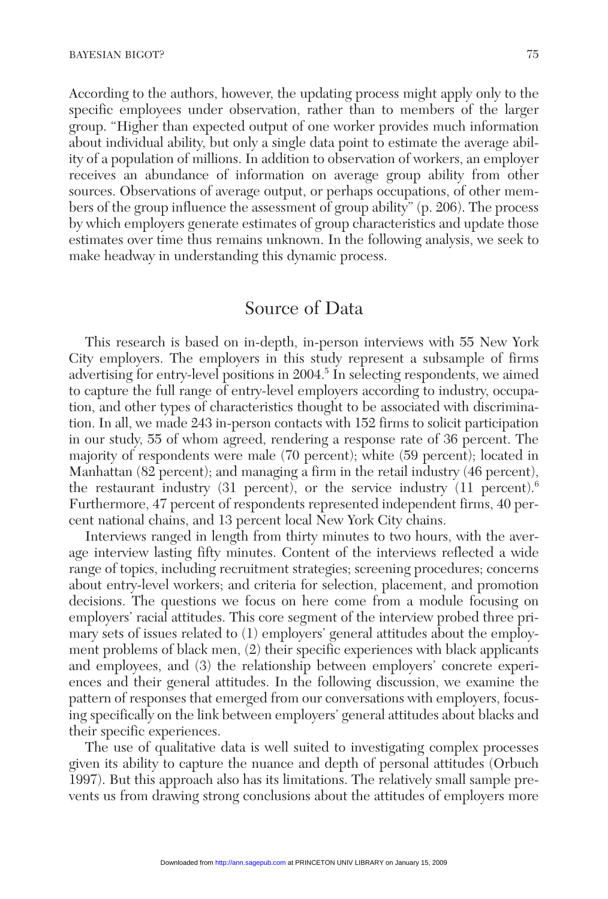According to the authors, however, the updating process might apply only to the specific employees under observation, rather than to members of the larger group. "Higher than expected output of one worker provides much information about individual ability, but only a single data point to estimate the average ability of a population of millions. In addition to observation of workers, an employer receives an abundance of information on average group ability from other sources. Observations of average output, or perhaps occupations, of other members of the group influence the assessment of group ability" (p. 206). The process by which employers generate estimates of group characteristics and update those estimates over time thus remains unknown. In the following analysis, we seek to make headway in understanding this dynamic process.

## Source of Data

This research is based on in-depth, in-person interviews with 55 New York City employers. The employers in this study represent a subsample of firms advertising for entry-level positions in  $2004<sup>5</sup>$  In selecting respondents, we aimed to capture the full range of entry-level employers according to industry, occupation, and other types of characteristics thought to be associated with discrimination. In all, we made 243 in-person contacts with 152 firms to solicit participation in our study, 55 of whom agreed, rendering a response rate of 36 percent. The majority of respondents were male (70 percent); white (59 percent); located in Manhattan (82 percent); and managing a firm in the retail industry (46 percent), the restaurant industry  $(31 \text{ percent})$ , or the service industry  $(11 \text{ percent})$ .<sup>6</sup> Furthermore, 47 percent of respondents represented independent firms, 40 percent national chains, and 13 percent local New York City chains.

Interviews ranged in length from thirty minutes to two hours, with the average interview lasting fifty minutes. Content of the interviews reflected a wide range of topics, including recruitment strategies; screening procedures; concerns about entry-level workers; and criteria for selection, placement, and promotion decisions. The questions we focus on here come from a module focusing on employers' racial attitudes. This core segment of the interview probed three primary sets of issues related to (1) employers' general attitudes about the employment problems of black men, (2) their specific experiences with black applicants and employees, and (3) the relationship between employers' concrete experiences and their general attitudes. In the following discussion, we examine the pattern of responses that emerged from our conversations with employers, focusing specifically on the link between employers' general attitudes about blacks and their specific experiences.

The use of qualitative data is well suited to investigating complex processes given its ability to capture the nuance and depth of personal attitudes (Orbuch 1997). But this approach also has its limitations. The relatively small sample prevents us from drawing strong conclusions about the attitudes of employers more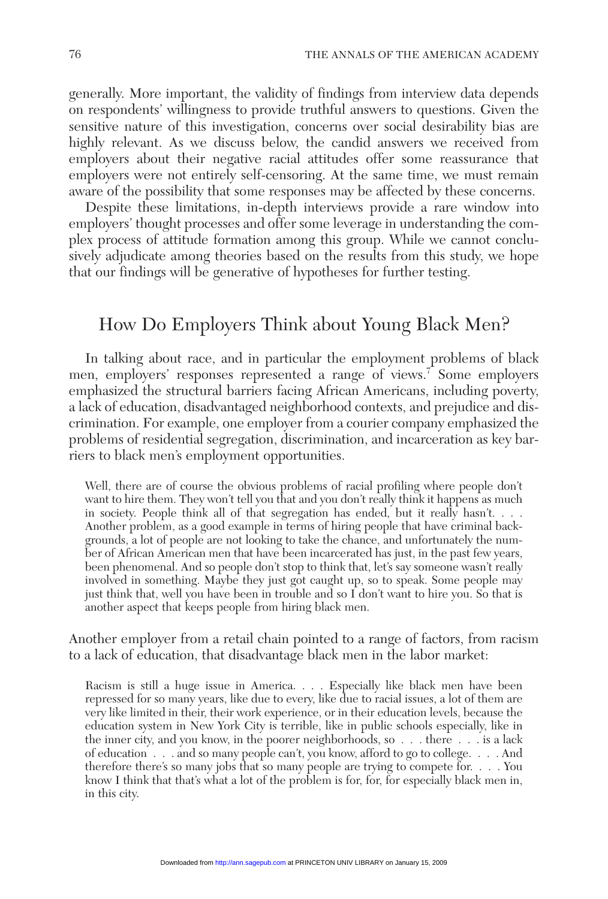generally. More important, the validity of findings from interview data depends on respondents' willingness to provide truthful answers to questions. Given the sensitive nature of this investigation, concerns over social desirability bias are highly relevant. As we discuss below, the candid answers we received from employers about their negative racial attitudes offer some reassurance that employers were not entirely self-censoring. At the same time, we must remain aware of the possibility that some responses may be affected by these concerns.

Despite these limitations, in-depth interviews provide a rare window into employers' thought processes and offer some leverage in understanding the complex process of attitude formation among this group. While we cannot conclusively adjudicate among theories based on the results from this study, we hope that our findings will be generative of hypotheses for further testing.

## How Do Employers Think about Young Black Men?

In talking about race, and in particular the employment problems of black men, employers' responses represented a range of views.<sup>7</sup> Some employers emphasized the structural barriers facing African Americans, including poverty, a lack of education, disadvantaged neighborhood contexts, and prejudice and discrimination. For example, one employer from a courier company emphasized the problems of residential segregation, discrimination, and incarceration as key barriers to black men's employment opportunities.

Well, there are of course the obvious problems of racial profiling where people don't want to hire them. They won't tell you that and you don't really think it happens as much in society. People think all of that segregation has ended, but it really hasn't.... Another problem, as a good example in terms of hiring people that have criminal backgrounds, a lot of people are not looking to take the chance, and unfortunately the number of African American men that have been incarcerated has just, in the past few years, been phenomenal. And so people don't stop to think that, let's say someone wasn't really involved in something. Maybe they just got caught up, so to speak. Some people may just think that, well you have been in trouble and so I don't want to hire you. So that is another aspect that keeps people from hiring black men.

Another employer from a retail chain pointed to a range of factors, from racism to a lack of education, that disadvantage black men in the labor market:

Racism is still a huge issue in America. . . . Especially like black men have been repressed for so many years, like due to every, like due to racial issues, a lot of them are very like limited in their, their work experience, or in their education levels, because the education system in New York City is terrible, like in public schools especially, like in the inner city, and you know, in the poorer neighborhoods, so . . . there . . . is a lack of education . . . and so many people can't, you know, afford to go to college. . . . And therefore there's so many jobs that so many people are trying to compete for. . . . You know I think that that's what a lot of the problem is for, for, for especially black men in, in this city.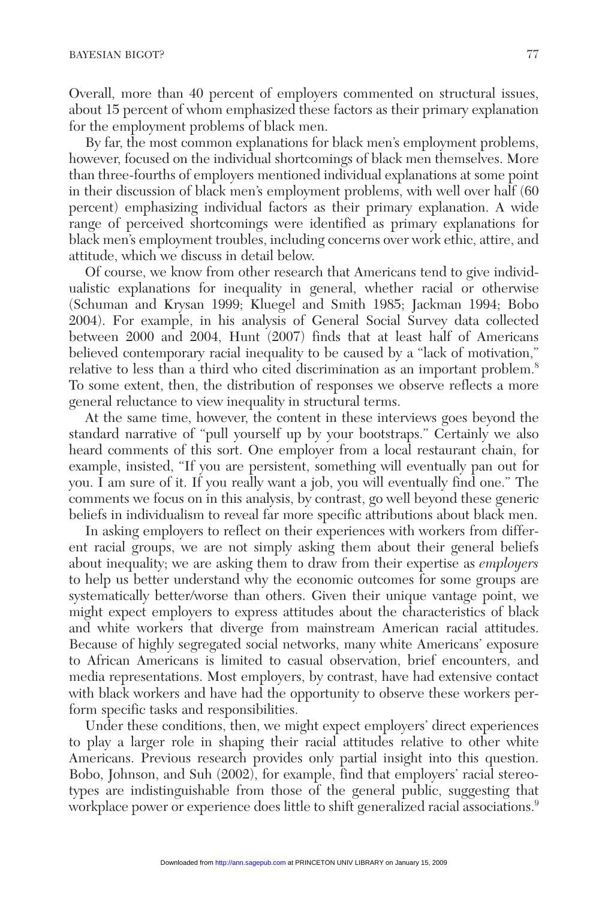Overall, more than 40 percent of employers commented on structural issues, about 15 percent of whom emphasized these factors as their primary explanation for the employment problems of black men.

By far, the most common explanations for black men's employment problems, however, focused on the individual shortcomings of black men themselves. More than three-fourths of employers mentioned individual explanations at some point in their discussion of black men's employment problems, with well over half (60 percent) emphasizing individual factors as their primary explanation. A wide range of perceived shortcomings were identified as primary explanations for black men's employment troubles, including concerns over work ethic, attire, and attitude, which we discuss in detail below.

Of course, we know from other research that Americans tend to give individualistic explanations for inequality in general, whether racial or otherwise (Schuman and Krysan 1999; Kluegel and Smith 1985; Jackman 1994; Bobo 2004). For example, in his analysis of General Social Survey data collected between 2000 and 2004, Hunt (2007) finds that at least half of Americans believed contemporary racial inequality to be caused by a "lack of motivation," relative to less than a third who cited discrimination as an important problem.<sup>8</sup> To some extent, then, the distribution of responses we observe reflects a more general reluctance to view inequality in structural terms.

At the same time, however, the content in these interviews goes beyond the standard narrative of "pull yourself up by your bootstraps." Certainly we also heard comments of this sort. One employer from a local restaurant chain, for example, insisted, "If you are persistent, something will eventually pan out for you. I am sure of it. If you really want a job, you will eventually find one." The comments we focus on in this analysis, by contrast, go well beyond these generic beliefs in individualism to reveal far more specific attributions about black men.

In asking employers to reflect on their experiences with workers from different racial groups, we are not simply asking them about their general beliefs about inequality; we are asking them to draw from their expertise as *employers* to help us better understand why the economic outcomes for some groups are systematically better/worse than others. Given their unique vantage point, we might expect employers to express attitudes about the characteristics of black and white workers that diverge from mainstream American racial attitudes. Because of highly segregated social networks, many white Americans' exposure to African Americans is limited to casual observation, brief encounters, and media representations. Most employers, by contrast, have had extensive contact with black workers and have had the opportunity to observe these workers perform specific tasks and responsibilities.

Under these conditions, then, we might expect employers' direct experiences to play a larger role in shaping their racial attitudes relative to other white Americans. Previous research provides only partial insight into this question. Bobo, Johnson, and Suh (2002), for example, find that employers' racial stereotypes are indistinguishable from those of the general public, suggesting that workplace power or experience does little to shift generalized racial associations.<sup>9</sup>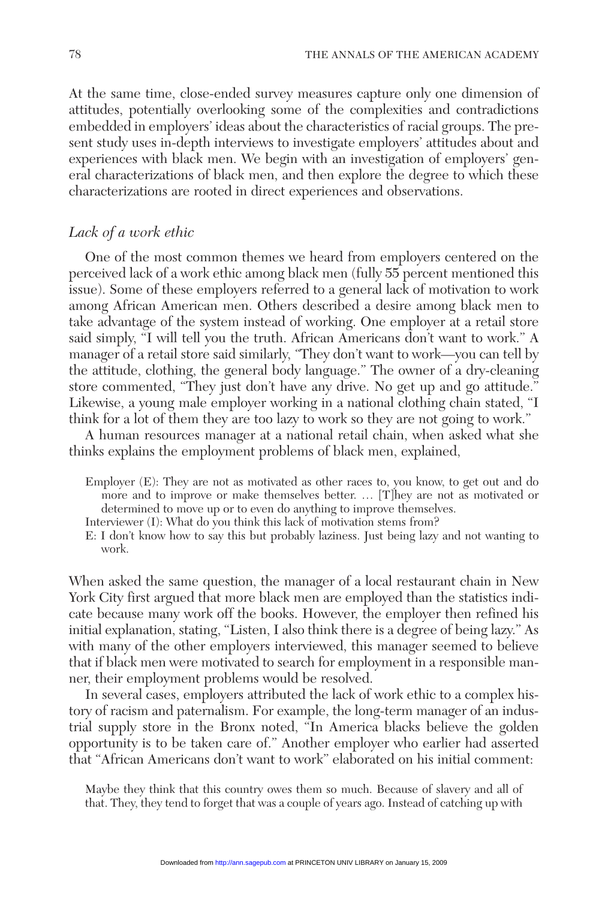At the same time, close-ended survey measures capture only one dimension of attitudes, potentially overlooking some of the complexities and contradictions embedded in employers' ideas about the characteristics of racial groups. The present study uses in-depth interviews to investigate employers' attitudes about and experiences with black men. We begin with an investigation of employers' general characterizations of black men, and then explore the degree to which these characterizations are rooted in direct experiences and observations.

### *Lack of a work ethic*

One of the most common themes we heard from employers centered on the perceived lack of a work ethic among black men (fully 55 percent mentioned this issue). Some of these employers referred to a general lack of motivation to work among African American men. Others described a desire among black men to take advantage of the system instead of working. One employer at a retail store said simply, "I will tell you the truth. African Americans don't want to work." A manager of a retail store said similarly, *"*They don't want to work—you can tell by the attitude, clothing, the general body language." The owner of a dry-cleaning store commented, "They just don't have any drive. No get up and go attitude." Likewise, a young male employer working in a national clothing chain stated, "I think for a lot of them they are too lazy to work so they are not going to work."

A human resources manager at a national retail chain, when asked what she thinks explains the employment problems of black men, explained,

- Employer (E): They are not as motivated as other races to, you know, to get out and do more and to improve or make themselves better. … [T]hey are not as motivated or determined to move up or to even do anything to improve themselves.
- Interviewer (I): What do you think this lack of motivation stems from?
- E: I don't know how to say this but probably laziness. Just being lazy and not wanting to work.

When asked the same question, the manager of a local restaurant chain in New York City first argued that more black men are employed than the statistics indicate because many work off the books. However, the employer then refined his initial explanation, stating, "Listen, I also think there is a degree of being lazy." As with many of the other employers interviewed, this manager seemed to believe that if black men were motivated to search for employment in a responsible manner, their employment problems would be resolved.

In several cases, employers attributed the lack of work ethic to a complex history of racism and paternalism. For example, the long-term manager of an industrial supply store in the Bronx noted, "In America blacks believe the golden opportunity is to be taken care of." Another employer who earlier had asserted that "African Americans don't want to work" elaborated on his initial comment:

Maybe they think that this country owes them so much. Because of slavery and all of that. They, they tend to forget that was a couple of years ago. Instead of catching up with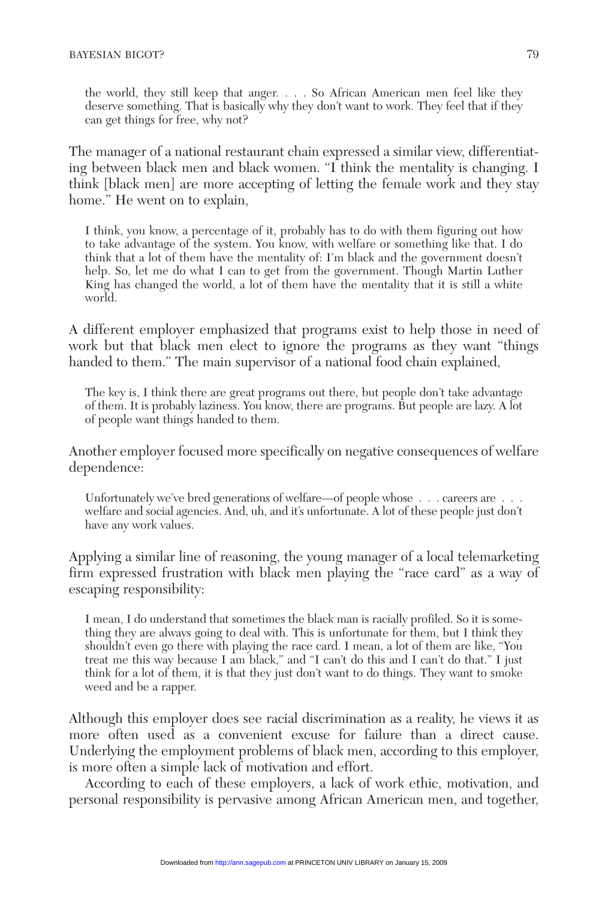The manager of a national restaurant chain expressed a similar view, differentiating between black men and black women. "I think the mentality is changing. I think [black men] are more accepting of letting the female work and they stay home." He went on to explain,

I think, you know, a percentage of it, probably has to do with them figuring out how to take advantage of the system. You know, with welfare or something like that. I do think that a lot of them have the mentality of: I'm black and the government doesn't help. So, let me do what I can to get from the government. Though Martin Luther King has changed the world, a lot of them have the mentality that it is still a white world.

A different employer emphasized that programs exist to help those in need of work but that black men elect to ignore the programs as they want "things handed to them." The main supervisor of a national food chain explained,

The key is, I think there are great programs out there, but people don't take advantage of them. It is probably laziness. You know, there are programs. But people are lazy. A lot of people want things handed to them.

Another employer focused more specifically on negative consequences of welfare dependence:

Unfortunately we've bred generations of welfare—of people whose . . . careers are . . . welfare and social agencies. And, uh, and it's unfortunate. A lot of these people just don't have any work values.

Applying a similar line of reasoning, the young manager of a local telemarketing firm expressed frustration with black men playing the "race card" as a way of escaping responsibility:

I mean, I do understand that sometimes the black man is racially profiled. So it is something they are always going to deal with. This is unfortunate for them, but I think they shouldn't even go there with playing the race card. I mean, a lot of them are like, "You treat me this way because I am black," and "I can't do this and I can't do that." I just think for a lot of them, it is that they just don't want to do things. They want to smoke weed and be a rapper.

Although this employer does see racial discrimination as a reality, he views it as more often used as a convenient excuse for failure than a direct cause. Underlying the employment problems of black men, according to this employer, is more often a simple lack of motivation and effort.

According to each of these employers, a lack of work ethic, motivation, and personal responsibility is pervasive among African American men, and together,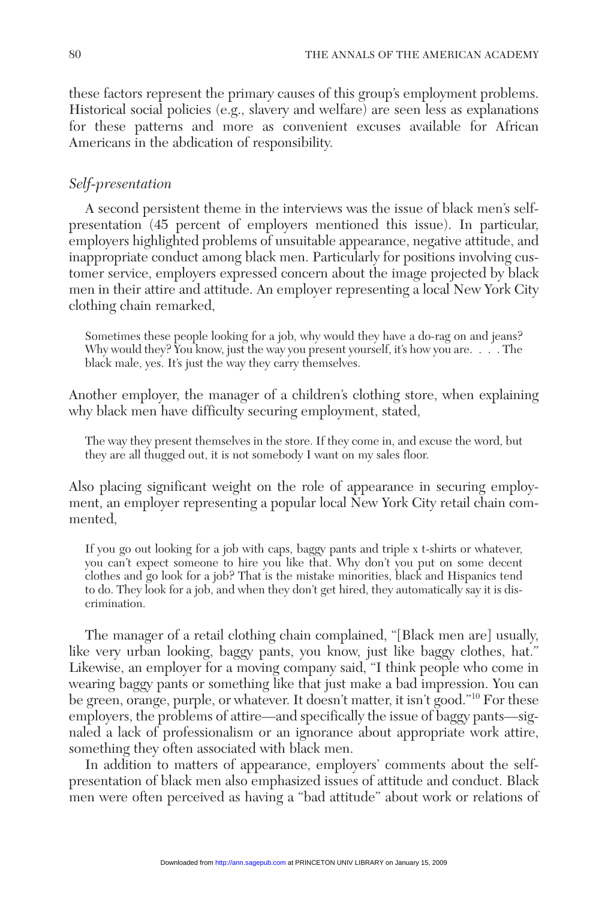these factors represent the primary causes of this group's employment problems. Historical social policies (e.g., slavery and welfare) are seen less as explanations for these patterns and more as convenient excuses available for African Americans in the abdication of responsibility.

### *Self-presentation*

A second persistent theme in the interviews was the issue of black men's selfpresentation (45 percent of employers mentioned this issue). In particular, employers highlighted problems of unsuitable appearance, negative attitude, and inappropriate conduct among black men. Particularly for positions involving customer service, employers expressed concern about the image projected by black men in their attire and attitude. An employer representing a local New York City clothing chain remarked,

Sometimes these people looking for a job, why would they have a do-rag on and jeans? Why would they? You know, just the way you present yourself, it's how you are. . . . The black male, yes. It's just the way they carry themselves.

Another employer, the manager of a children's clothing store, when explaining why black men have difficulty securing employment, stated,

The way they present themselves in the store. If they come in, and excuse the word, but they are all thugged out, it is not somebody I want on my sales floor.

Also placing significant weight on the role of appearance in securing employment, an employer representing a popular local New York City retail chain commented,

If you go out looking for a job with caps, baggy pants and triple x t-shirts or whatever, you can't expect someone to hire you like that. Why don't you put on some decent clothes and go look for a job? That is the mistake minorities, black and Hispanics tend to do. They look for a job, and when they don't get hired, they automatically say it is discrimination.

The manager of a retail clothing chain complained, "[Black men are] usually, like very urban looking, baggy pants, you know, just like baggy clothes, hat." Likewise, an employer for a moving company said, "I think people who come in wearing baggy pants or something like that just make a bad impression. You can be green, orange, purple, or whatever. It doesn't matter, it isn't good."10 For these employers, the problems of attire—and specifically the issue of baggy pants—signaled a lack of professionalism or an ignorance about appropriate work attire, something they often associated with black men.

In addition to matters of appearance, employers' comments about the selfpresentation of black men also emphasized issues of attitude and conduct. Black men were often perceived as having a "bad attitude" about work or relations of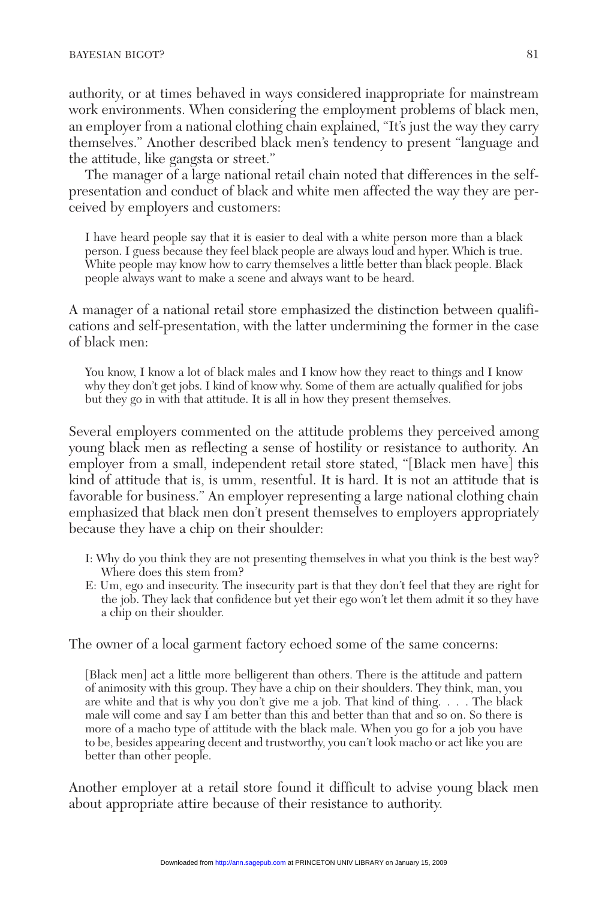authority, or at times behaved in ways considered inappropriate for mainstream work environments. When considering the employment problems of black men, an employer from a national clothing chain explained, "It's just the way they carry themselves." Another described black men's tendency to present "language and the attitude, like gangsta or street."

The manager of a large national retail chain noted that differences in the selfpresentation and conduct of black and white men affected the way they are perceived by employers and customers:

I have heard people say that it is easier to deal with a white person more than a black person. I guess because they feel black people are always loud and hyper. Which is true. White people may know how to carry themselves a little better than black people. Black people always want to make a scene and always want to be heard.

A manager of a national retail store emphasized the distinction between qualifications and self-presentation, with the latter undermining the former in the case of black men:

You know, I know a lot of black males and I know how they react to things and I know why they don't get jobs. I kind of know why. Some of them are actually qualified for jobs but they go in with that attitude. It is all in how they present themselves.

Several employers commented on the attitude problems they perceived among young black men as reflecting a sense of hostility or resistance to authority. An employer from a small, independent retail store stated, "[Black men have] this kind of attitude that is, is umm, resentful. It is hard. It is not an attitude that is favorable for business." An employer representing a large national clothing chain emphasized that black men don't present themselves to employers appropriately because they have a chip on their shoulder:

- I: Why do you think they are not presenting themselves in what you think is the best way? Where does this stem from?
- E: Um, ego and insecurity. The insecurity part is that they don't feel that they are right for the job. They lack that confidence but yet their ego won't let them admit it so they have a chip on their shoulder.

The owner of a local garment factory echoed some of the same concerns:

[Black men] act a little more belligerent than others. There is the attitude and pattern of animosity with this group. They have a chip on their shoulders. They think, man, you are white and that is why you don't give me a job. That kind of thing. . . . The black male will come and say I am better than this and better than that and so on. So there is more of a macho type of attitude with the black male. When you go for a job you have to be, besides appearing decent and trustworthy, you can't look macho or act like you are better than other people.

Another employer at a retail store found it difficult to advise young black men about appropriate attire because of their resistance to authority.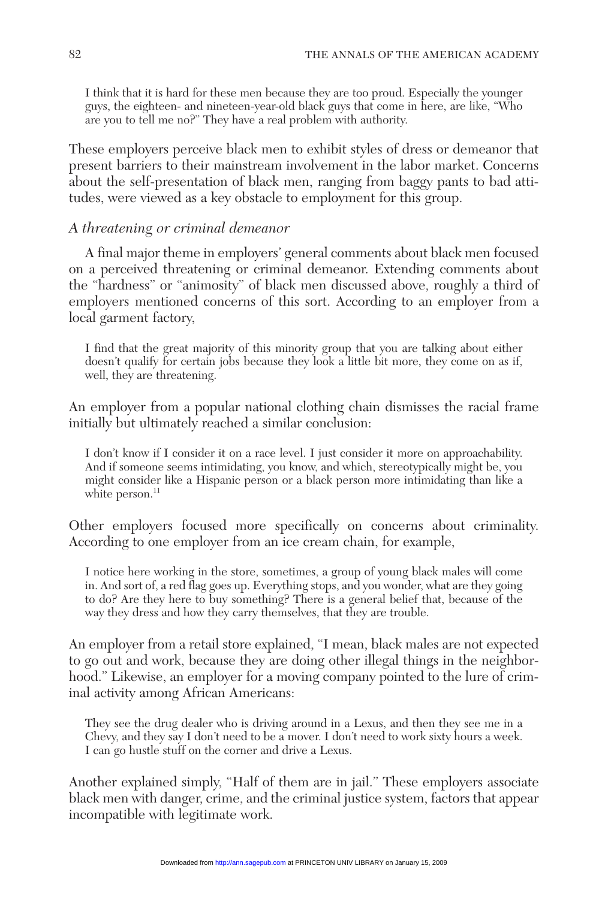I think that it is hard for these men because they are too proud. Especially the younger guys, the eighteen- and nineteen-year-old black guys that come in here, are like, "Who are you to tell me no?" They have a real problem with authority.

These employers perceive black men to exhibit styles of dress or demeanor that present barriers to their mainstream involvement in the labor market. Concerns about the self-presentation of black men, ranging from baggy pants to bad attitudes, were viewed as a key obstacle to employment for this group.

#### *A threatening or criminal demeanor*

A final major theme in employers' general comments about black men focused on a perceived threatening or criminal demeanor. Extending comments about the "hardness" or "animosity" of black men discussed above, roughly a third of employers mentioned concerns of this sort. According to an employer from a local garment factory,

I find that the great majority of this minority group that you are talking about either doesn't qualify for certain jobs because they look a little bit more, they come on as if, well, they are threatening.

An employer from a popular national clothing chain dismisses the racial frame initially but ultimately reached a similar conclusion:

I don't know if I consider it on a race level. I just consider it more on approachability. And if someone seems intimidating, you know, and which, stereotypically might be, you might consider like a Hispanic person or a black person more intimidating than like a white person.<sup>11</sup>

Other employers focused more specifically on concerns about criminality. According to one employer from an ice cream chain, for example,

I notice here working in the store, sometimes, a group of young black males will come in. And sort of, a red flag goes up. Everything stops, and you wonder, what are they going to do? Are they here to buy something? There is a general belief that, because of the way they dress and how they carry themselves, that they are trouble.

An employer from a retail store explained, "I mean, black males are not expected to go out and work, because they are doing other illegal things in the neighborhood." Likewise, an employer for a moving company pointed to the lure of criminal activity among African Americans:

They see the drug dealer who is driving around in a Lexus, and then they see me in a Chevy, and they say I don't need to be a mover. I don't need to work sixty hours a week. I can go hustle stuff on the corner and drive a Lexus.

Another explained simply, "Half of them are in jail." These employers associate black men with danger, crime, and the criminal justice system, factors that appear incompatible with legitimate work.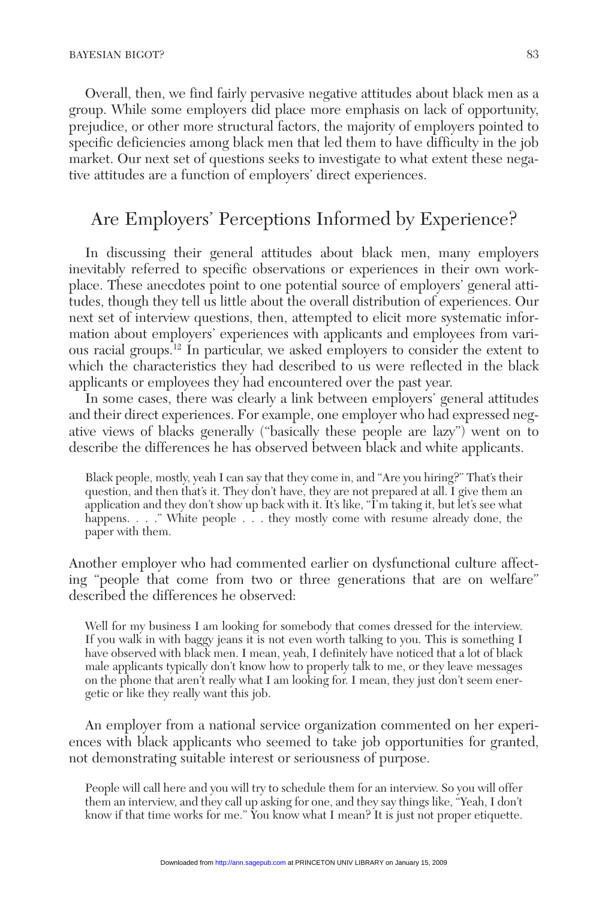Overall, then, we find fairly pervasive negative attitudes about black men as a group. While some employers did place more emphasis on lack of opportunity, prejudice, or other more structural factors, the majority of employers pointed to specific deficiencies among black men that led them to have difficulty in the job market. Our next set of questions seeks to investigate to what extent these negative attitudes are a function of employers' direct experiences.

## Are Employers' Perceptions Informed by Experience?

In discussing their general attitudes about black men, many employers inevitably referred to specific observations or experiences in their own workplace. These anecdotes point to one potential source of employers' general attitudes, though they tell us little about the overall distribution of experiences. Our next set of interview questions, then, attempted to elicit more systematic information about employers' experiences with applicants and employees from various racial groups.12 In particular, we asked employers to consider the extent to which the characteristics they had described to us were reflected in the black applicants or employees they had encountered over the past year.

In some cases, there was clearly a link between employers' general attitudes and their direct experiences. For example, one employer who had expressed negative views of blacks generally ("basically these people are lazy") went on to describe the differences he has observed between black and white applicants.

Black people, mostly, yeah I can say that they come in, and "Are you hiring?" That's their question, and then that's it. They don't have, they are not prepared at all. I give them an application and they don't show up back with it. It's like, "I'm taking it, but let's see what happens. . . ." White people . . . they mostly come with resume already done, the paper with them.

Another employer who had commented earlier on dysfunctional culture affecting "people that come from two or three generations that are on welfare" described the differences he observed:

Well for my business I am looking for somebody that comes dressed for the interview. If you walk in with baggy jeans it is not even worth talking to you. This is something I have observed with black men. I mean, yeah, I definitely have noticed that a lot of black male applicants typically don't know how to properly talk to me, or they leave messages on the phone that aren't really what I am looking for. I mean, they just don't seem energetic or like they really want this job.

An employer from a national service organization commented on her experiences with black applicants who seemed to take job opportunities for granted, not demonstrating suitable interest or seriousness of purpose.

People will call here and you will try to schedule them for an interview. So you will offer them an interview, and they call up asking for one, and they say things like, "Yeah, I don't know if that time works for me." You know what I mean? It is just not proper etiquette.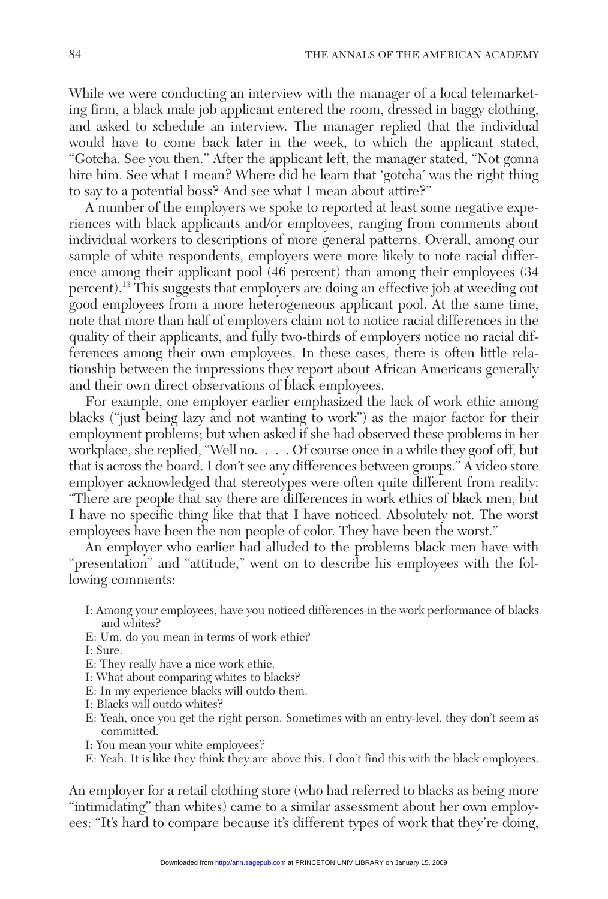While we were conducting an interview with the manager of a local telemarketing firm, a black male job applicant entered the room, dressed in baggy clothing, and asked to schedule an interview. The manager replied that the individual would have to come back later in the week, to which the applicant stated, "Gotcha. See you then." After the applicant left, the manager stated, "Not gonna hire him. See what I mean? Where did he learn that 'gotcha' was the right thing to say to a potential boss? And see what I mean about attire?"

A number of the employers we spoke to reported at least some negative experiences with black applicants and/or employees, ranging from comments about individual workers to descriptions of more general patterns. Overall, among our sample of white respondents, employers were more likely to note racial difference among their applicant pool (46 percent) than among their employees (34 percent).13 This suggests that employers are doing an effective job at weeding out good employees from a more heterogeneous applicant pool. At the same time, note that more than half of employers claim not to notice racial differences in the quality of their applicants, and fully two-thirds of employers notice no racial differences among their own employees. In these cases, there is often little relationship between the impressions they report about African Americans generally and their own direct observations of black employees.

For example, one employer earlier emphasized the lack of work ethic among blacks ("just being lazy and not wanting to work") as the major factor for their employment problems; but when asked if she had observed these problems in her workplace, she replied, "Well no. . . . Of course once in a while they goof off, but that is across the board. I don't see any differences between groups." A video store employer acknowledged that stereotypes were often quite different from reality: "There are people that say there are differences in work ethics of black men, but I have no specific thing like that that I have noticed. Absolutely not. The worst employees have been the non people of color. They have been the worst."

An employer who earlier had alluded to the problems black men have with "presentation" and "attitude," went on to describe his employees with the following comments:

- I: Among your employees, have you noticed differences in the work performance of blacks and whites?
- E: Um, do you mean in terms of work ethic?
- I: Sure.
- E: They really have a nice work ethic.
- I: What about comparing whites to blacks?
- E: In my experience blacks will outdo them.
- I: Blacks will outdo whites?
- E: Yeah, once you get the right person. Sometimes with an entry-level, they don't seem as committed.
- I: You mean your white employees?
- E: Yeah. It is like they think they are above this. I don't find this with the black employees.

An employer for a retail clothing store (who had referred to blacks as being more "intimidating" than whites) came to a similar assessment about her own employees: "It's hard to compare because it's different types of work that they're doing,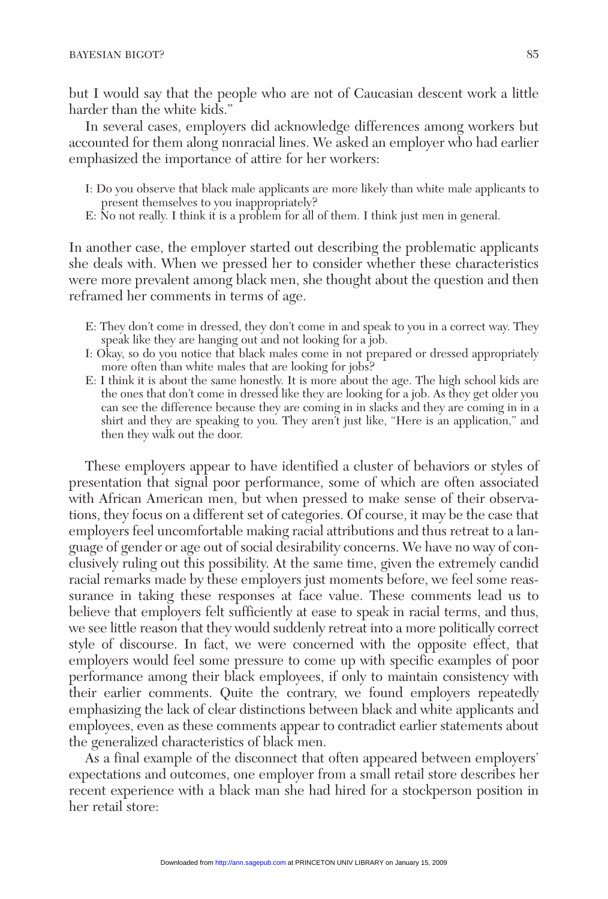but I would say that the people who are not of Caucasian descent work a little harder than the white kids."

In several cases, employers did acknowledge differences among workers but accounted for them along nonracial lines. We asked an employer who had earlier emphasized the importance of attire for her workers:

- I: Do you observe that black male applicants are more likely than white male applicants to present themselves to you inappropriately?
- E: No not really. I think it is a problem for all of them. I think just men in general.

In another case, the employer started out describing the problematic applicants she deals with. When we pressed her to consider whether these characteristics were more prevalent among black men, she thought about the question and then reframed her comments in terms of age.

- E: They don't come in dressed, they don't come in and speak to you in a correct way. They speak like they are hanging out and not looking for a job.
- I: Okay, so do you notice that black males come in not prepared or dressed appropriately more often than white males that are looking for jobs?
- E: I think it is about the same honestly. It is more about the age. The high school kids are the ones that don't come in dressed like they are looking for a job. As they get older you can see the difference because they are coming in in slacks and they are coming in in a shirt and they are speaking to you. They aren't just like, "Here is an application," and then they walk out the door.

These employers appear to have identified a cluster of behaviors or styles of presentation that signal poor performance, some of which are often associated with African American men, but when pressed to make sense of their observations, they focus on a different set of categories. Of course, it may be the case that employers feel uncomfortable making racial attributions and thus retreat to a language of gender or age out of social desirability concerns. We have no way of conclusively ruling out this possibility. At the same time, given the extremely candid racial remarks made by these employers just moments before, we feel some reassurance in taking these responses at face value. These comments lead us to believe that employers felt sufficiently at ease to speak in racial terms, and thus, we see little reason that they would suddenly retreat into a more politically correct style of discourse. In fact, we were concerned with the opposite effect, that employers would feel some pressure to come up with specific examples of poor performance among their black employees, if only to maintain consistency with their earlier comments. Quite the contrary, we found employers repeatedly emphasizing the lack of clear distinctions between black and white applicants and employees, even as these comments appear to contradict earlier statements about the generalized characteristics of black men.

As a final example of the disconnect that often appeared between employers' expectations and outcomes, one employer from a small retail store describes her recent experience with a black man she had hired for a stockperson position in her retail store: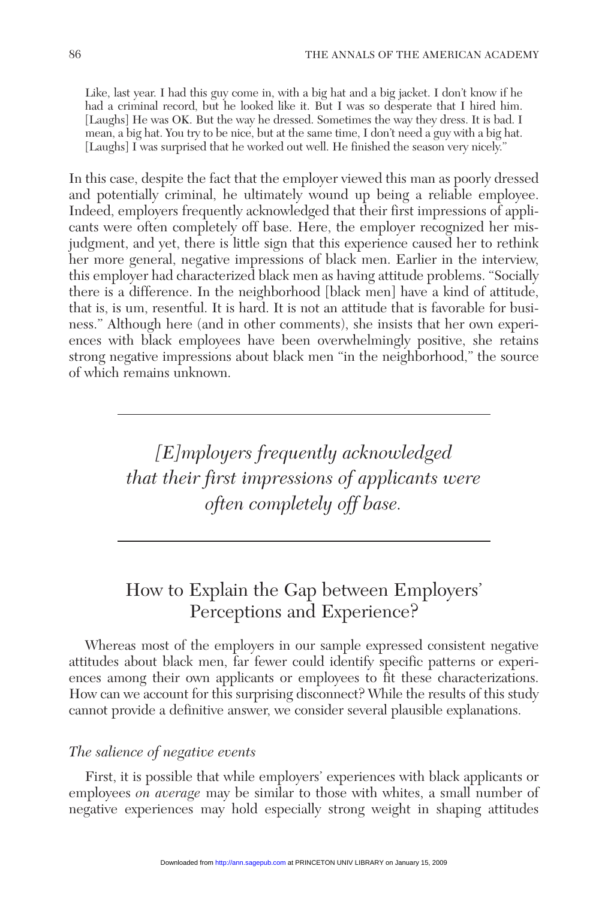Like, last year. I had this guy come in, with a big hat and a big jacket. I don't know if he had a criminal record, but he looked like it. But I was so desperate that I hired him. [Laughs] He was OK. But the way he dressed. Sometimes the way they dress. It is bad. I mean, a big hat. You try to be nice, but at the same time, I don't need a guy with a big hat. [Laughs] I was surprised that he worked out well. He finished the season very nicely."

In this case, despite the fact that the employer viewed this man as poorly dressed and potentially criminal, he ultimately wound up being a reliable employee. Indeed, employers frequently acknowledged that their first impressions of applicants were often completely off base. Here, the employer recognized her misjudgment, and yet, there is little sign that this experience caused her to rethink her more general, negative impressions of black men. Earlier in the interview, this employer had characterized black men as having attitude problems. "Socially there is a difference. In the neighborhood [black men] have a kind of attitude, that is, is um, resentful. It is hard. It is not an attitude that is favorable for business." Although here (and in other comments), she insists that her own experiences with black employees have been overwhelmingly positive, she retains strong negative impressions about black men "in the neighborhood," the source of which remains unknown.

> *[E]mployers frequently acknowledged that their first impressions of applicants were often completely off base.*

# How to Explain the Gap between Employers' Perceptions and Experience?

Whereas most of the employers in our sample expressed consistent negative attitudes about black men, far fewer could identify specific patterns or experiences among their own applicants or employees to fit these characterizations. How can we account for this surprising disconnect? While the results of this study cannot provide a definitive answer, we consider several plausible explanations.

### *The salience of negative events*

First, it is possible that while employers' experiences with black applicants or employees *on average* may be similar to those with whites, a small number of negative experiences may hold especially strong weight in shaping attitudes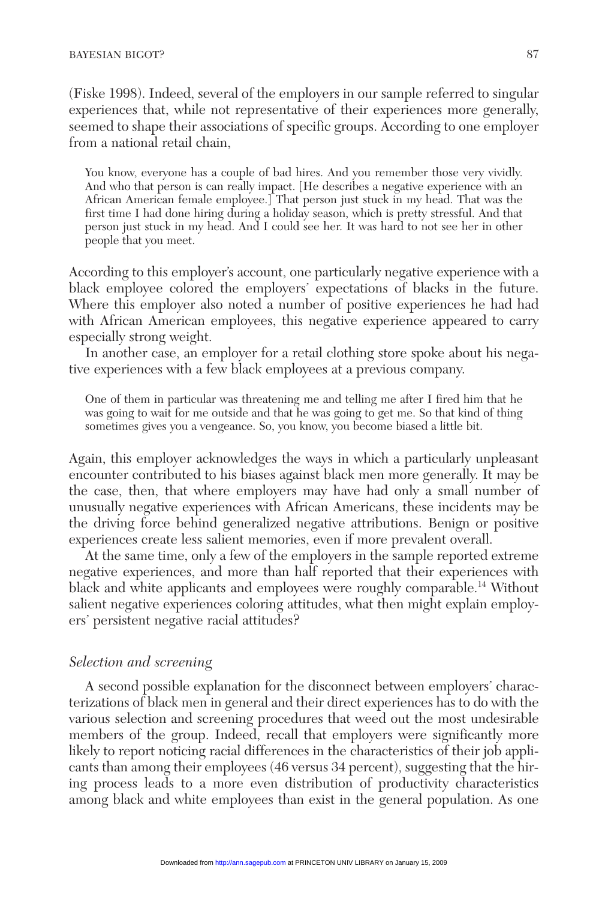(Fiske 1998). Indeed, several of the employers in our sample referred to singular experiences that, while not representative of their experiences more generally, seemed to shape their associations of specific groups. According to one employer from a national retail chain,

You know, everyone has a couple of bad hires. And you remember those very vividly. And who that person is can really impact. [He describes a negative experience with an African American female employee.] That person just stuck in my head. That was the first time I had done hiring during a holiday season, which is pretty stressful. And that person just stuck in my head. And I could see her. It was hard to not see her in other people that you meet.

According to this employer's account, one particularly negative experience with a black employee colored the employers' expectations of blacks in the future. Where this employer also noted a number of positive experiences he had had with African American employees, this negative experience appeared to carry especially strong weight.

In another case, an employer for a retail clothing store spoke about his negative experiences with a few black employees at a previous company.

One of them in particular was threatening me and telling me after I fired him that he was going to wait for me outside and that he was going to get me. So that kind of thing sometimes gives you a vengeance. So, you know, you become biased a little bit.

Again, this employer acknowledges the ways in which a particularly unpleasant encounter contributed to his biases against black men more generally. It may be the case, then, that where employers may have had only a small number of unusually negative experiences with African Americans, these incidents may be the driving force behind generalized negative attributions. Benign or positive experiences create less salient memories, even if more prevalent overall.

At the same time, only a few of the employers in the sample reported extreme negative experiences, and more than half reported that their experiences with black and white applicants and employees were roughly comparable.<sup>14</sup> Without salient negative experiences coloring attitudes, what then might explain employers' persistent negative racial attitudes?

### *Selection and screening*

A second possible explanation for the disconnect between employers' characterizations of black men in general and their direct experiences has to do with the various selection and screening procedures that weed out the most undesirable members of the group. Indeed, recall that employers were significantly more likely to report noticing racial differences in the characteristics of their job applicants than among their employees (46 versus 34 percent), suggesting that the hiring process leads to a more even distribution of productivity characteristics among black and white employees than exist in the general population. As one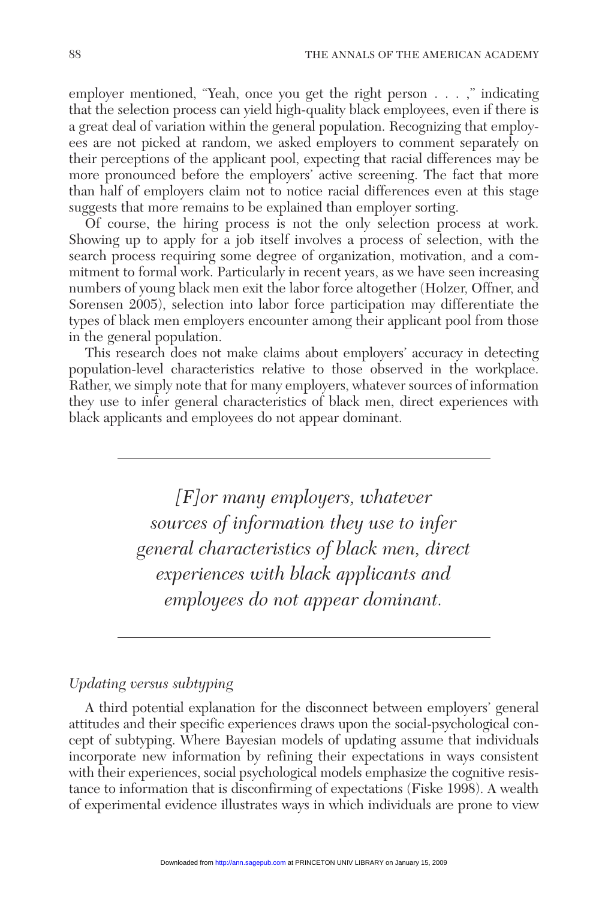employer mentioned, "Yeah, once you get the right person . . . ," indicating that the selection process can yield high-quality black employees, even if there is a great deal of variation within the general population. Recognizing that employees are not picked at random, we asked employers to comment separately on their perceptions of the applicant pool, expecting that racial differences may be more pronounced before the employers' active screening. The fact that more than half of employers claim not to notice racial differences even at this stage suggests that more remains to be explained than employer sorting.

Of course, the hiring process is not the only selection process at work. Showing up to apply for a job itself involves a process of selection, with the search process requiring some degree of organization, motivation, and a commitment to formal work. Particularly in recent years, as we have seen increasing numbers of young black men exit the labor force altogether (Holzer, Offner, and Sorensen 2005), selection into labor force participation may differentiate the types of black men employers encounter among their applicant pool from those in the general population.

This research does not make claims about employers' accuracy in detecting population-level characteristics relative to those observed in the workplace. Rather, we simply note that for many employers, whatever sources of information they use to infer general characteristics of black men, direct experiences with black applicants and employees do not appear dominant.

> *[F]or many employers, whatever sources of information they use to infer general characteristics of black men, direct experiences with black applicants and employees do not appear dominant.*

### *Updating versus subtyping*

A third potential explanation for the disconnect between employers' general attitudes and their specific experiences draws upon the social-psychological concept of subtyping. Where Bayesian models of updating assume that individuals incorporate new information by refining their expectations in ways consistent with their experiences, social psychological models emphasize the cognitive resistance to information that is disconfirming of expectations (Fiske 1998). A wealth of experimental evidence illustrates ways in which individuals are prone to view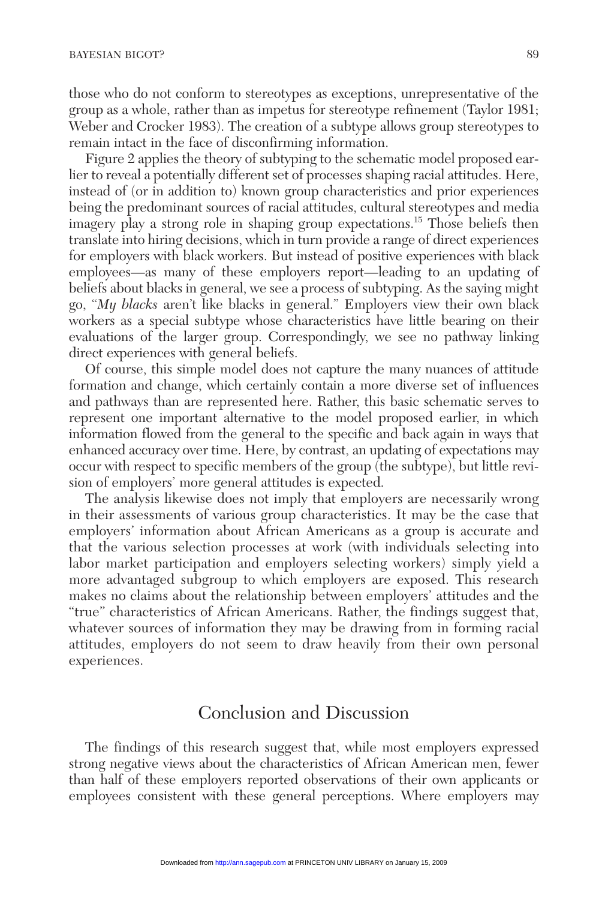those who do not conform to stereotypes as exceptions, unrepresentative of the group as a whole, rather than as impetus for stereotype refinement (Taylor 1981; Weber and Crocker 1983). The creation of a subtype allows group stereotypes to remain intact in the face of disconfirming information.

Figure 2 applies the theory of subtyping to the schematic model proposed earlier to reveal a potentially different set of processes shaping racial attitudes. Here, instead of (or in addition to) known group characteristics and prior experiences being the predominant sources of racial attitudes, cultural stereotypes and media imagery play a strong role in shaping group expectations.15 Those beliefs then translate into hiring decisions, which in turn provide a range of direct experiences for employers with black workers. But instead of positive experiences with black employees—as many of these employers report—leading to an updating of beliefs about blacks in general, we see a process of subtyping. As the saying might go, "*My blacks* aren't like blacks in general." Employers view their own black workers as a special subtype whose characteristics have little bearing on their evaluations of the larger group. Correspondingly, we see no pathway linking direct experiences with general beliefs.

Of course, this simple model does not capture the many nuances of attitude formation and change, which certainly contain a more diverse set of influences and pathways than are represented here. Rather, this basic schematic serves to represent one important alternative to the model proposed earlier, in which information flowed from the general to the specific and back again in ways that enhanced accuracy over time. Here, by contrast, an updating of expectations may occur with respect to specific members of the group (the subtype), but little revision of employers' more general attitudes is expected.

The analysis likewise does not imply that employers are necessarily wrong in their assessments of various group characteristics. It may be the case that employers' information about African Americans as a group is accurate and that the various selection processes at work (with individuals selecting into labor market participation and employers selecting workers) simply yield a more advantaged subgroup to which employers are exposed. This research makes no claims about the relationship between employers' attitudes and the "true" characteristics of African Americans. Rather, the findings suggest that, whatever sources of information they may be drawing from in forming racial attitudes, employers do not seem to draw heavily from their own personal experiences.

## Conclusion and Discussion

The findings of this research suggest that, while most employers expressed strong negative views about the characteristics of African American men, fewer than half of these employers reported observations of their own applicants or employees consistent with these general perceptions. Where employers may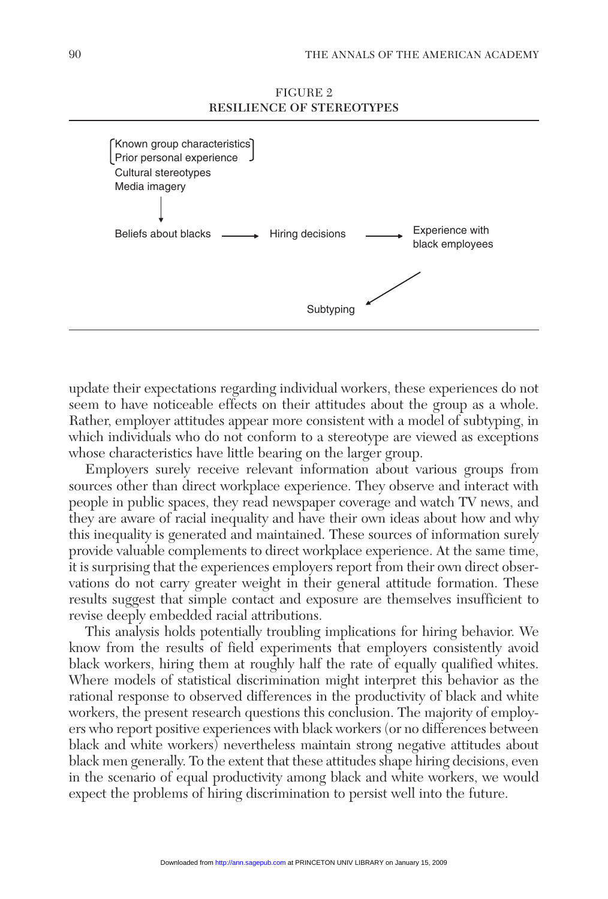FIGURE 2 **RESILIENCE OF STEREOTYPES**



update their expectations regarding individual workers, these experiences do not seem to have noticeable effects on their attitudes about the group as a whole. Rather, employer attitudes appear more consistent with a model of subtyping, in which individuals who do not conform to a stereotype are viewed as exceptions whose characteristics have little bearing on the larger group.

Employers surely receive relevant information about various groups from sources other than direct workplace experience. They observe and interact with people in public spaces, they read newspaper coverage and watch TV news, and they are aware of racial inequality and have their own ideas about how and why this inequality is generated and maintained. These sources of information surely provide valuable complements to direct workplace experience. At the same time, it is surprising that the experiences employers report from their own direct observations do not carry greater weight in their general attitude formation. These results suggest that simple contact and exposure are themselves insufficient to revise deeply embedded racial attributions.

This analysis holds potentially troubling implications for hiring behavior. We know from the results of field experiments that employers consistently avoid black workers, hiring them at roughly half the rate of equally qualified whites. Where models of statistical discrimination might interpret this behavior as the rational response to observed differences in the productivity of black and white workers, the present research questions this conclusion. The majority of employers who report positive experiences with black workers (or no differences between black and white workers) nevertheless maintain strong negative attitudes about black men generally. To the extent that these attitudes shape hiring decisions, even in the scenario of equal productivity among black and white workers, we would expect the problems of hiring discrimination to persist well into the future.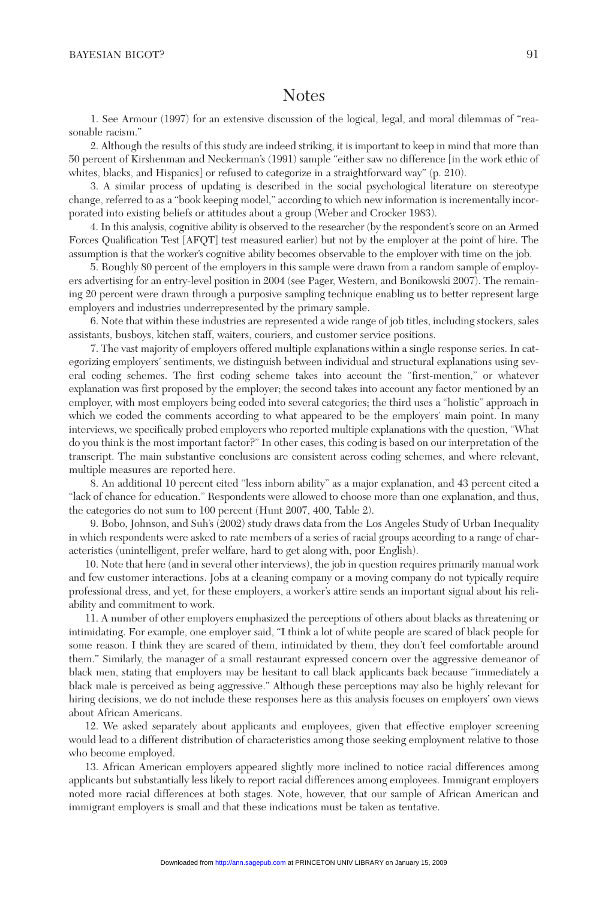## **Notes**

1. See Armour (1997) for an extensive discussion of the logical, legal, and moral dilemmas of "reasonable racism."

2. Although the results of this study are indeed striking, it is important to keep in mind that more than 50 percent of Kirshenman and Neckerman's (1991) sample "either saw no difference [in the work ethic of whites, blacks, and Hispanics] or refused to categorize in a straightforward way" (p. 210).

3. A similar process of updating is described in the social psychological literature on stereotype change, referred to as a "book keeping model," according to which new information is incrementally incorporated into existing beliefs or attitudes about a group (Weber and Crocker 1983).

4. In this analysis, cognitive ability is observed to the researcher (by the respondent's score on an Armed Forces Qualification Test [AFQT] test measured earlier) but not by the employer at the point of hire. The assumption is that the worker's cognitive ability becomes observable to the employer with time on the job.

5. Roughly 80 percent of the employers in this sample were drawn from a random sample of employers advertising for an entry-level position in 2004 (see Pager, Western, and Bonikowski 2007). The remaining 20 percent were drawn through a purposive sampling technique enabling us to better represent large employers and industries underrepresented by the primary sample.

6. Note that within these industries are represented a wide range of job titles, including stockers, sales assistants, busboys, kitchen staff, waiters, couriers, and customer service positions.

7. The vast majority of employers offered multiple explanations within a single response series. In categorizing employers' sentiments, we distinguish between individual and structural explanations using several coding schemes. The first coding scheme takes into account the "first-mention," or whatever explanation was first proposed by the employer; the second takes into account any factor mentioned by an employer, with most employers being coded into several categories; the third uses a "holistic" approach in which we coded the comments according to what appeared to be the employers' main point. In many interviews, we specifically probed employers who reported multiple explanations with the question, "What do you think is the most important factor?" In other cases, this coding is based on our interpretation of the transcript. The main substantive conclusions are consistent across coding schemes, and where relevant, multiple measures are reported here.

8. An additional 10 percent cited "less inborn ability" as a major explanation, and 43 percent cited a "lack of chance for education." Respondents were allowed to choose more than one explanation, and thus, the categories do not sum to 100 percent (Hunt 2007, 400, Table 2).

9. Bobo, Johnson, and Suh's (2002) study draws data from the Los Angeles Study of Urban Inequality in which respondents were asked to rate members of a series of racial groups according to a range of characteristics (unintelligent, prefer welfare, hard to get along with, poor English).

10. Note that here (and in several other interviews), the job in question requires primarily manual work and few customer interactions. Jobs at a cleaning company or a moving company do not typically require professional dress, and yet, for these employers, a worker's attire sends an important signal about his reliability and commitment to work.

11. A number of other employers emphasized the perceptions of others about blacks as threatening or intimidating. For example, one employer said, "I think a lot of white people are scared of black people for some reason. I think they are scared of them, intimidated by them, they don't feel comfortable around them." Similarly, the manager of a small restaurant expressed concern over the aggressive demeanor of black men, stating that employers may be hesitant to call black applicants back because "immediately a black male is perceived as being aggressive." Although these perceptions may also be highly relevant for hiring decisions, we do not include these responses here as this analysis focuses on employers' own views about African Americans.

12. We asked separately about applicants and employees, given that effective employer screening would lead to a different distribution of characteristics among those seeking employment relative to those who become employed.

13. African American employers appeared slightly more inclined to notice racial differences among applicants but substantially less likely to report racial differences among employees. Immigrant employers noted more racial differences at both stages. Note, however, that our sample of African American and immigrant employers is small and that these indications must be taken as tentative.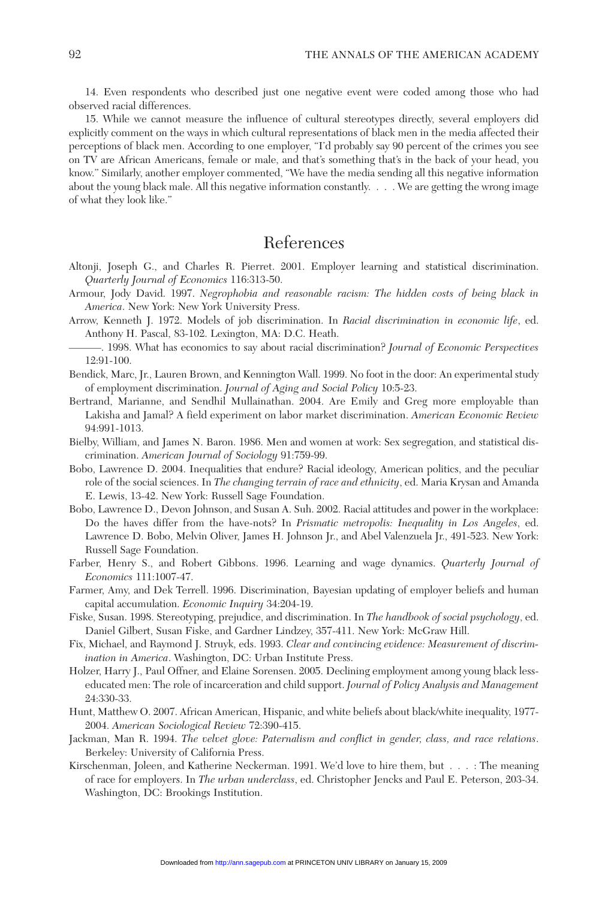14. Even respondents who described just one negative event were coded among those who had observed racial differences.

15. While we cannot measure the influence of cultural stereotypes directly, several employers did explicitly comment on the ways in which cultural representations of black men in the media affected their perceptions of black men. According to one employer, "I'd probably say 90 percent of the crimes you see on TV are African Americans, female or male, and that's something that's in the back of your head, you know." Similarly, another employer commented, "We have the media sending all this negative information about the young black male. All this negative information constantly. . . . We are getting the wrong image of what they look like."

## References

- Altonji, Joseph G., and Charles R. Pierret. 2001. Employer learning and statistical discrimination. *Quarterly Journal of Economics* 116:313-50.
- Armour, Jody David. 1997. *Negrophobia and reasonable racism: The hidden costs of being black in America*. New York: New York University Press.
- Arrow, Kenneth J. 1972. Models of job discrimination. In *Racial discrimination in economic life*, ed. Anthony H. Pascal, 83-102. Lexington, MA: D.C. Heath.
- ———. 1998. What has economics to say about racial discrimination? *Journal of Economic Perspectives* 12:91-100.
- Bendick, Marc, Jr., Lauren Brown, and Kennington Wall. 1999. No foot in the door: An experimental study of employment discrimination. *Journal of Aging and Social Policy* 10:5-23.
- Bertrand, Marianne, and Sendhil Mullainathan. 2004. Are Emily and Greg more employable than Lakisha and Jamal? A field experiment on labor market discrimination. *American Economic Review* 94:991-1013.
- Bielby, William, and James N. Baron. 1986. Men and women at work: Sex segregation, and statistical discrimination. *American Journal of Sociology* 91:759-99.
- Bobo, Lawrence D. 2004. Inequalities that endure? Racial ideology, American politics, and the peculiar role of the social sciences. In *The changing terrain of race and ethnicity*, ed. Maria Krysan and Amanda E. Lewis, 13-42. New York: Russell Sage Foundation.
- Bobo, Lawrence D., Devon Johnson, and Susan A. Suh. 2002. Racial attitudes and power in the workplace: Do the haves differ from the have-nots? In *Prismatic metropolis: Inequality in Los Angeles*, ed. Lawrence D. Bobo, Melvin Oliver, James H. Johnson Jr., and Abel Valenzuela Jr., 491-523. New York: Russell Sage Foundation.
- Farber, Henry S., and Robert Gibbons. 1996. Learning and wage dynamics. *Quarterly Journal of Economics* 111:1007-47.
- Farmer, Amy, and Dek Terrell. 1996. Discrimination, Bayesian updating of employer beliefs and human capital accumulation. *Economic Inquiry* 34:204-19.
- Fiske, Susan. 1998. Stereotyping, prejudice, and discrimination. In *The handbook of social psychology*, ed. Daniel Gilbert, Susan Fiske, and Gardner Lindzey, 357-411. New York: McGraw Hill.
- Fix, Michael, and Raymond J. Struyk, eds. 1993. *Clear and convincing evidence: Measurement of discrimination in America*. Washington, DC: Urban Institute Press.
- Holzer, Harry J., Paul Offner, and Elaine Sorensen. 2005. Declining employment among young black lesseducated men: The role of incarceration and child support. *Journal of Policy Analysis and Management* 24:330-33.
- Hunt, Matthew O. 2007. African American, Hispanic, and white beliefs about black/white inequality, 1977- 2004. *American Sociological Review* 72:390-415.
- Jackman, Man R. 1994. *The velvet glove: Paternalism and conflict in gender, class, and race relations*. Berkeley: University of California Press.
- Kirschenman, Joleen, and Katherine Neckerman. 1991. We'd love to hire them, but . . . : The meaning of race for employers. In *The urban underclass*, ed. Christopher Jencks and Paul E. Peterson, 203-34. Washington, DC: Brookings Institution.